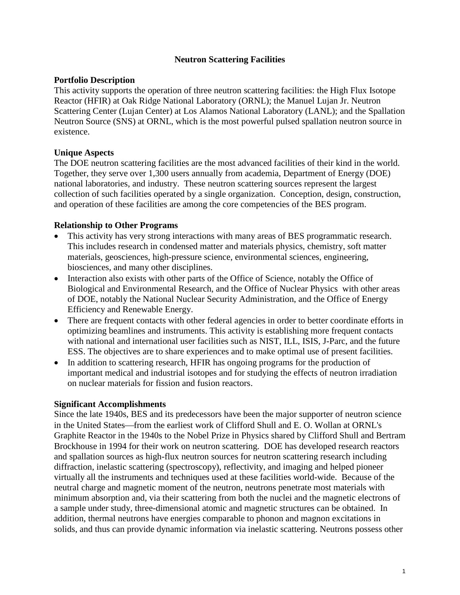# **Neutron Scattering Facilities**

# **Portfolio Description**

This activity supports the operation of three neutron scattering facilities: the High Flux Isotope Reactor (HFIR) at Oak Ridge National Laboratory (ORNL); the Manuel Lujan Jr. Neutron Scattering Center (Lujan Center) at Los Alamos National Laboratory (LANL); and the Spallation Neutron Source (SNS) at ORNL, which is the most powerful pulsed spallation neutron source in existence.

# **Unique Aspects**

The DOE neutron scattering facilities are the most advanced facilities of their kind in the world. Together, they serve over 1,300 users annually from academia, Department of Energy (DOE) national laboratories, and industry. These neutron scattering sources represent the largest collection of such facilities operated by a single organization. Conception, design, construction, and operation of these facilities are among the core competencies of the BES program.

# **Relationship to Other Programs**

- This activity has very strong interactions with many areas of BES programmatic research. This includes research in condensed matter and materials physics, chemistry, soft matter materials, geosciences, high-pressure science, environmental sciences, engineering, biosciences, and many other disciplines.
- Interaction also exists with other parts of the Office of Science, notably the Office of Biological and Environmental Research, and the Office of Nuclear Physics with other areas of DOE, notably the National Nuclear Security Administration, and the Office of Energy Efficiency and Renewable Energy.
- There are frequent contacts with other federal agencies in order to better coordinate efforts in optimizing beamlines and instruments. This activity is establishing more frequent contacts with national and international user facilities such as NIST, ILL, ISIS, J-Parc, and the future ESS. The objectives are to share experiences and to make optimal use of present facilities.
- In addition to scattering research, HFIR has ongoing programs for the production of important medical and industrial isotopes and for studying the effects of neutron irradiation on nuclear materials for fission and fusion reactors.

#### **Significant Accomplishments**

Since the late 1940s, BES and its predecessors have been the major supporter of neutron science in the United States—from the earliest work of Clifford Shull and E. O. Wollan at ORNL's Graphite Reactor in the 1940s to the Nobel Prize in Physics shared by Clifford Shull and Bertram Brockhouse in 1994 for their work on neutron scattering. DOE has developed research reactors and spallation sources as high-flux neutron sources for neutron scattering research including diffraction, inelastic scattering (spectroscopy), reflectivity, and imaging and helped pioneer virtually all the instruments and techniques used at these facilities world-wide. Because of the neutral charge and magnetic moment of the neutron, neutrons penetrate most materials with minimum absorption and, via their scattering from both the nuclei and the magnetic electrons of a sample under study, three-dimensional atomic and magnetic structures can be obtained. In addition, thermal neutrons have energies comparable to phonon and magnon excitations in solids, and thus can provide dynamic information via inelastic scattering. Neutrons possess other